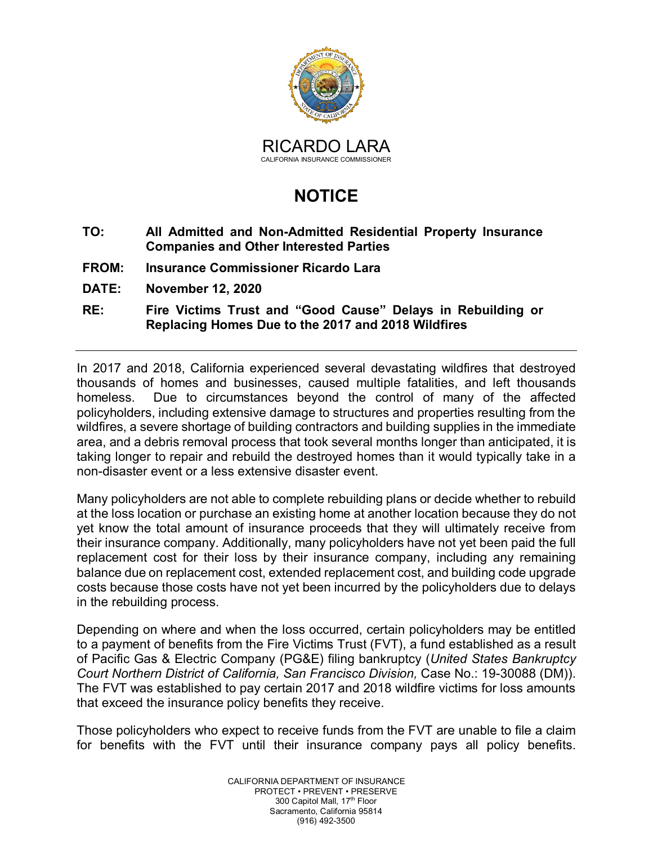

## **NOTICE**

- **TO: All Admitted and Non-Admitted Residential Property Insurance Companies and Other Interested Parties**
- **FROM: Insurance Commissioner Ricardo Lara**
- **DATE: November 12, 2020**
- **RE: Fire Victims Trust and "Good Cause" Delays in Rebuilding or Replacing Homes Due to the 2017 and 2018 Wildfires**

In 2017 and 2018, California experienced several devastating wildfires that destroyed thousands of homes and businesses, caused multiple fatalities, and left thousands homeless. Due to circumstances beyond the control of many of the affected policyholders, including extensive damage to structures and properties resulting from the wildfires, a severe shortage of building contractors and building supplies in the immediate area, and a debris removal process that took several months longer than anticipated, it is taking longer to repair and rebuild the destroyed homes than it would typically take in a non-disaster event or a less extensive disaster event.

Many policyholders are not able to complete rebuilding plans or decide whether to rebuild at the loss location or purchase an existing home at another location because they do not yet know the total amount of insurance proceeds that they will ultimately receive from their insurance company. Additionally, many policyholders have not yet been paid the full replacement cost for their loss by their insurance company, including any remaining balance due on replacement cost, extended replacement cost, and building code upgrade costs because those costs have not yet been incurred by the policyholders due to delays in the rebuilding process.

Depending on where and when the loss occurred, certain policyholders may be entitled to a payment of benefits from the Fire Victims Trust (FVT), a fund established as a result of Pacific Gas & Electric Company (PG&E) filing bankruptcy (*United States Bankruptcy Court Northern District of California, San Francisco Division,* Case No.: 19-30088 (DM)). The FVT was established to pay certain 2017 and 2018 wildfire victims for loss amounts that exceed the insurance policy benefits they receive.

Those policyholders who expect to receive funds from the FVT are unable to file a claim for benefits with the FVT until their insurance company pays all policy benefits.